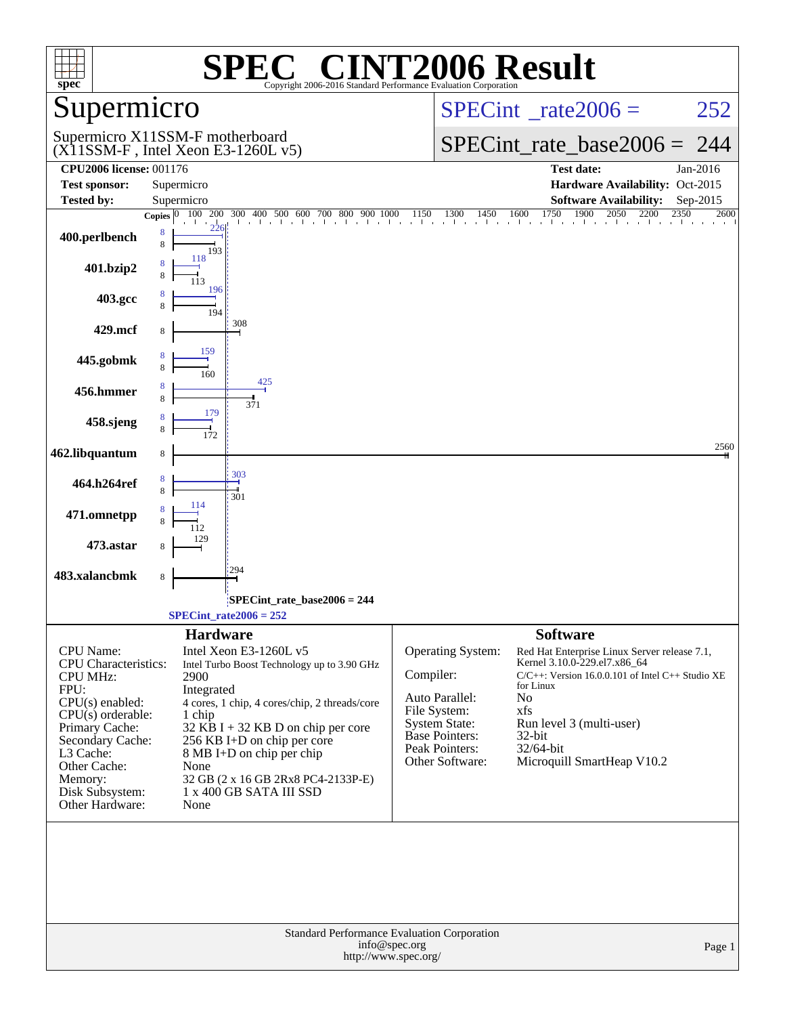| $spec^*$                                                                                                                                                                                                                            | $\mathbf{P}^{\bullet}(\mathbb{R})$<br>SPE<br>Copyright 2006-2016 Standard Performance Evaluation Corporation                                                                                                                                                                                                                                                   | <b>INT2006 Result</b>                                                                                                                                                                                                                                                                                                                                                                                                         |
|-------------------------------------------------------------------------------------------------------------------------------------------------------------------------------------------------------------------------------------|----------------------------------------------------------------------------------------------------------------------------------------------------------------------------------------------------------------------------------------------------------------------------------------------------------------------------------------------------------------|-------------------------------------------------------------------------------------------------------------------------------------------------------------------------------------------------------------------------------------------------------------------------------------------------------------------------------------------------------------------------------------------------------------------------------|
| Supermicro                                                                                                                                                                                                                          |                                                                                                                                                                                                                                                                                                                                                                | $SPECint^{\circ}$ <sub>_rate2006</sub> =<br>252                                                                                                                                                                                                                                                                                                                                                                               |
|                                                                                                                                                                                                                                     | Supermicro X11SSM-F motherboard<br>$(X11SSM-F$ , Intel Xeon E3-1260L v5)                                                                                                                                                                                                                                                                                       | $SPECint_rate\_base2006 =$<br>244                                                                                                                                                                                                                                                                                                                                                                                             |
| <b>CPU2006 license: 001176</b>                                                                                                                                                                                                      |                                                                                                                                                                                                                                                                                                                                                                | <b>Test date:</b><br>Jan-2016                                                                                                                                                                                                                                                                                                                                                                                                 |
| <b>Test sponsor:</b>                                                                                                                                                                                                                | Supermicro                                                                                                                                                                                                                                                                                                                                                     | Hardware Availability: Oct-2015                                                                                                                                                                                                                                                                                                                                                                                               |
| <b>Tested by:</b>                                                                                                                                                                                                                   | Supermicro                                                                                                                                                                                                                                                                                                                                                     | <b>Software Availability:</b><br>Sep-2015                                                                                                                                                                                                                                                                                                                                                                                     |
| 400.perlbench                                                                                                                                                                                                                       | Copies $ 0 $<br>8<br>8<br>193                                                                                                                                                                                                                                                                                                                                  | 2600                                                                                                                                                                                                                                                                                                                                                                                                                          |
| 401.bzip2                                                                                                                                                                                                                           | 118<br>113                                                                                                                                                                                                                                                                                                                                                     |                                                                                                                                                                                                                                                                                                                                                                                                                               |
| 403.gcc                                                                                                                                                                                                                             | 196<br>8<br>194                                                                                                                                                                                                                                                                                                                                                |                                                                                                                                                                                                                                                                                                                                                                                                                               |
| 429.mcf                                                                                                                                                                                                                             | 308<br>8                                                                                                                                                                                                                                                                                                                                                       |                                                                                                                                                                                                                                                                                                                                                                                                                               |
| 445.gobmk                                                                                                                                                                                                                           | 159<br>8<br>160<br>425                                                                                                                                                                                                                                                                                                                                         |                                                                                                                                                                                                                                                                                                                                                                                                                               |
| 456.hmmer                                                                                                                                                                                                                           | 8<br>8<br>371<br>179                                                                                                                                                                                                                                                                                                                                           |                                                                                                                                                                                                                                                                                                                                                                                                                               |
| 458.sjeng                                                                                                                                                                                                                           | 8                                                                                                                                                                                                                                                                                                                                                              |                                                                                                                                                                                                                                                                                                                                                                                                                               |
| 462.libquantum                                                                                                                                                                                                                      | 8<br>303                                                                                                                                                                                                                                                                                                                                                       | 2560                                                                                                                                                                                                                                                                                                                                                                                                                          |
| 464.h264ref                                                                                                                                                                                                                         | 8<br>8<br>301<br>114                                                                                                                                                                                                                                                                                                                                           |                                                                                                                                                                                                                                                                                                                                                                                                                               |
| 471.omnetpp                                                                                                                                                                                                                         | 112<br>129                                                                                                                                                                                                                                                                                                                                                     |                                                                                                                                                                                                                                                                                                                                                                                                                               |
| 473.astar<br>483.xalancbmk                                                                                                                                                                                                          | 8<br>294                                                                                                                                                                                                                                                                                                                                                       |                                                                                                                                                                                                                                                                                                                                                                                                                               |
|                                                                                                                                                                                                                                     | 8                                                                                                                                                                                                                                                                                                                                                              |                                                                                                                                                                                                                                                                                                                                                                                                                               |
|                                                                                                                                                                                                                                     | SPECint rate base $2006 = 244$                                                                                                                                                                                                                                                                                                                                 |                                                                                                                                                                                                                                                                                                                                                                                                                               |
|                                                                                                                                                                                                                                     | $SPECint_rate2006 = 252$                                                                                                                                                                                                                                                                                                                                       |                                                                                                                                                                                                                                                                                                                                                                                                                               |
| CPU Name:<br><b>CPU</b> Characteristics:<br><b>CPU MHz:</b><br>FPU:<br>$CPU(s)$ enabled:<br>$CPU(s)$ orderable:<br>Primary Cache:<br>Secondary Cache:<br>L3 Cache:<br>Other Cache:<br>Memory:<br>Disk Subsystem:<br>Other Hardware: | <b>Hardware</b><br>Intel Xeon E3-1260L v5<br>Intel Turbo Boost Technology up to 3.90 GHz<br>2900<br>Integrated<br>4 cores, 1 chip, 4 cores/chip, 2 threads/core<br>1 chip<br>$32$ KB I + 32 KB D on chip per core<br>256 KB I+D on chip per core<br>8 MB I+D on chip per chip<br>None<br>32 GB (2 x 16 GB 2Rx8 PC4-2133P-E)<br>1 x 400 GB SATA III SSD<br>None | <b>Software</b><br>Operating System:<br>Red Hat Enterprise Linux Server release 7.1,<br>Kernel 3.10.0-229.el7.x86_64<br>Compiler:<br>$C/C++$ : Version 16.0.0.101 of Intel $C++$ Studio XE<br>for Linux<br>Auto Parallel:<br>No<br>File System:<br>xfs<br><b>System State:</b><br>Run level 3 (multi-user)<br><b>Base Pointers:</b><br>32-bit<br>Peak Pointers:<br>32/64-bit<br>Other Software:<br>Microquill SmartHeap V10.2 |
|                                                                                                                                                                                                                                     | Standard Performance Evaluation Corporation<br>info@spec.org<br>http://www.spec.org/                                                                                                                                                                                                                                                                           | Page 1                                                                                                                                                                                                                                                                                                                                                                                                                        |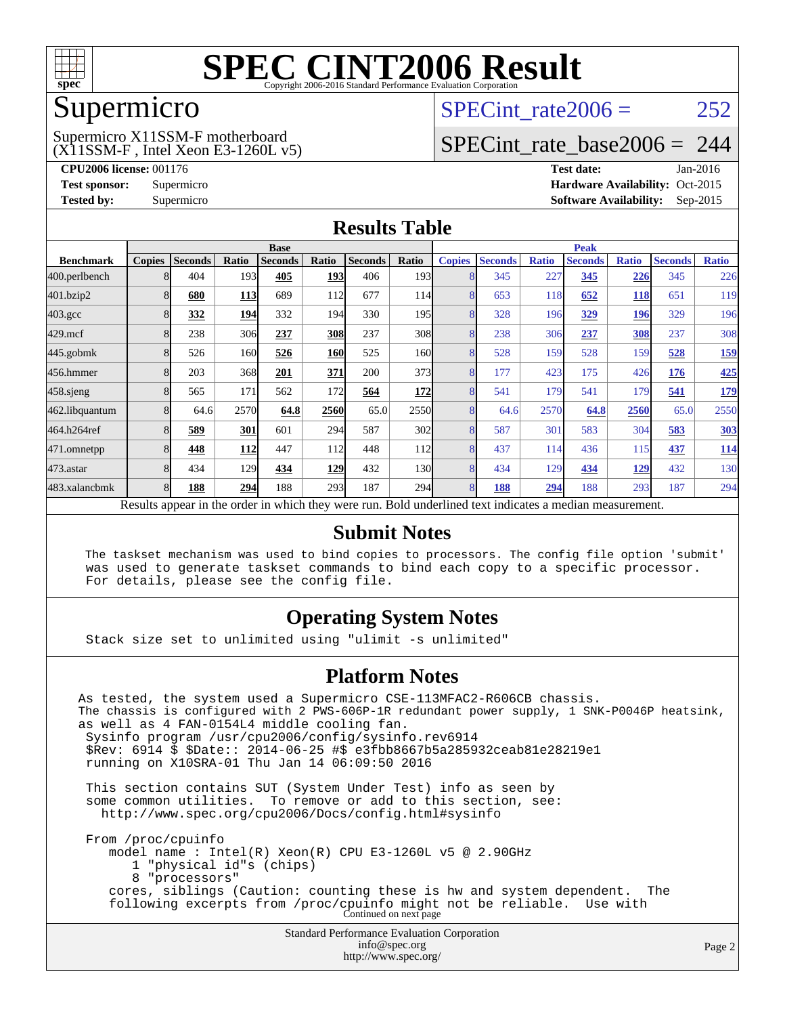

### Supermicro

### SPECint rate  $2006 = 252$

(X11SSM-F , Intel Xeon E3-1260L v5) Supermicro X11SSM-F motherboard

[SPECint\\_rate\\_base2006 =](http://www.spec.org/auto/cpu2006/Docs/result-fields.html#SPECintratebase2006) 244

**[CPU2006 license:](http://www.spec.org/auto/cpu2006/Docs/result-fields.html#CPU2006license)** 001176 **[Test date:](http://www.spec.org/auto/cpu2006/Docs/result-fields.html#Testdate)** Jan-2016 **[Test sponsor:](http://www.spec.org/auto/cpu2006/Docs/result-fields.html#Testsponsor)** Supermicro Supermicro **[Hardware Availability:](http://www.spec.org/auto/cpu2006/Docs/result-fields.html#HardwareAvailability)** Oct-2015 **[Tested by:](http://www.spec.org/auto/cpu2006/Docs/result-fields.html#Testedby)** Supermicro **Supermicro [Software Availability:](http://www.spec.org/auto/cpu2006/Docs/result-fields.html#SoftwareAvailability)** Sep-2015

### **[Results Table](http://www.spec.org/auto/cpu2006/Docs/result-fields.html#ResultsTable)**

|                    | <b>Base</b>             |                |            |                                                                                                          | <b>Peak</b> |                |                  |               |                |              |                |              |                |              |
|--------------------|-------------------------|----------------|------------|----------------------------------------------------------------------------------------------------------|-------------|----------------|------------------|---------------|----------------|--------------|----------------|--------------|----------------|--------------|
| <b>Benchmark</b>   | <b>Copies</b>           | <b>Seconds</b> | Ratio      | <b>Seconds</b>                                                                                           | Ratio       | <b>Seconds</b> | Ratio            | <b>Copies</b> | <b>Seconds</b> | <b>Ratio</b> | <b>Seconds</b> | <b>Ratio</b> | <b>Seconds</b> | <b>Ratio</b> |
| 400.perlbench      |                         | 404            | 193        | 405                                                                                                      | 193         | 406            | 193 <sup>1</sup> | 8             | 345            | 227          | 345            | 226          | 345            | 226          |
| 401.bzip2          |                         | 680            | <u>113</u> | 689                                                                                                      | 112         | 677            | 114I             | 8             | 653            | 118          | 652            | <b>118</b>   | 651            | 119          |
| $403.\mathrm{gcc}$ |                         | 332            | 194        | 332                                                                                                      | 194         | 330            | 195 <sub>l</sub> | 8             | 328            | 196          | 329            | 196          | 329            | 196          |
| $429$ .mcf         |                         | 238            | 306        | 237                                                                                                      | 308         | 237            | 308              | 8             | 238            | 306          | 237            | 308          | 237            | 308          |
| $445$ .gobm $k$    |                         | 526            | 160        | 526                                                                                                      | 160         | 525            | 160l             | 8             | 528            | 159          | 528            | 159          | 528            | <u>159</u>   |
| 456.hmmer          |                         | 203            | 368        | 201                                                                                                      | 371         | 200            | 373              | 8             | 177            | 423          | 175            | 426          | 176            | 425          |
| $458$ .sjeng       | 8                       | 565            | 171        | 562                                                                                                      | 172         | 564            | <b>172</b>       | 8             | 541            | 179          | 541            | 179          | 541            | <u>179</u>   |
| 462.libquantum     |                         | 64.6           | 2570       | 64.8                                                                                                     | 2560        | 65.0           | 2550             | 8             | 64.6           | 2570         | 64.8           | 2560         | 65.0           | 2550         |
| 464.h264ref        |                         | 589            | 301        | 601                                                                                                      | 294         | 587            | 302 <sub>l</sub> | 8             | 587            | 301          | 583            | 304          | 583            | <b>303</b>   |
| 471.omnetpp        |                         | 448            | 112        | 447                                                                                                      | 112         | 448            | 112 <sup> </sup> | 8             | 437            | 114          | 436            | 115          | 437            | <u>114</u>   |
| $473$ . astar      | $\mathsf{\overline{R}}$ | 434            | 129        | 434                                                                                                      | 129         | 432            | 130              | 8             | 434            | 129          | 434            | <u> 129</u>  | 432            | 130          |
| 483.xalancbmk      |                         | 188            | 294        | 188                                                                                                      | 293         | 187            | 294              | 8             | 188            | 294          | 188            | 293          | 187            | 294          |
|                    |                         |                |            | Results appear in the order in which they were run. Bold underlined text indicates a median measurement. |             |                |                  |               |                |              |                |              |                |              |

### **[Submit Notes](http://www.spec.org/auto/cpu2006/Docs/result-fields.html#SubmitNotes)**

 The taskset mechanism was used to bind copies to processors. The config file option 'submit' was used to generate taskset commands to bind each copy to a specific processor. For details, please see the config file.

### **[Operating System Notes](http://www.spec.org/auto/cpu2006/Docs/result-fields.html#OperatingSystemNotes)**

Stack size set to unlimited using "ulimit -s unlimited"

### **[Platform Notes](http://www.spec.org/auto/cpu2006/Docs/result-fields.html#PlatformNotes)**

Standard Performance Evaluation Corporation [info@spec.org](mailto:info@spec.org) As tested, the system used a Supermicro CSE-113MFAC2-R606CB chassis. The chassis is configured with 2 PWS-606P-1R redundant power supply, 1 SNK-P0046P heatsink, as well as 4 FAN-0154L4 middle cooling fan. Sysinfo program /usr/cpu2006/config/sysinfo.rev6914 \$Rev: 6914 \$ \$Date:: 2014-06-25 #\$ e3fbb8667b5a285932ceab81e28219e1 running on X10SRA-01 Thu Jan 14 06:09:50 2016 This section contains SUT (System Under Test) info as seen by some common utilities. To remove or add to this section, see: <http://www.spec.org/cpu2006/Docs/config.html#sysinfo> From /proc/cpuinfo model name : Intel(R) Xeon(R) CPU E3-1260L v5 @ 2.90GHz 1 "physical id"s (chips) 8 "processors" cores, siblings (Caution: counting these is hw and system dependent. The following excerpts from /proc/cpuinfo might not be reliable. Use with Continued on next page

<http://www.spec.org/>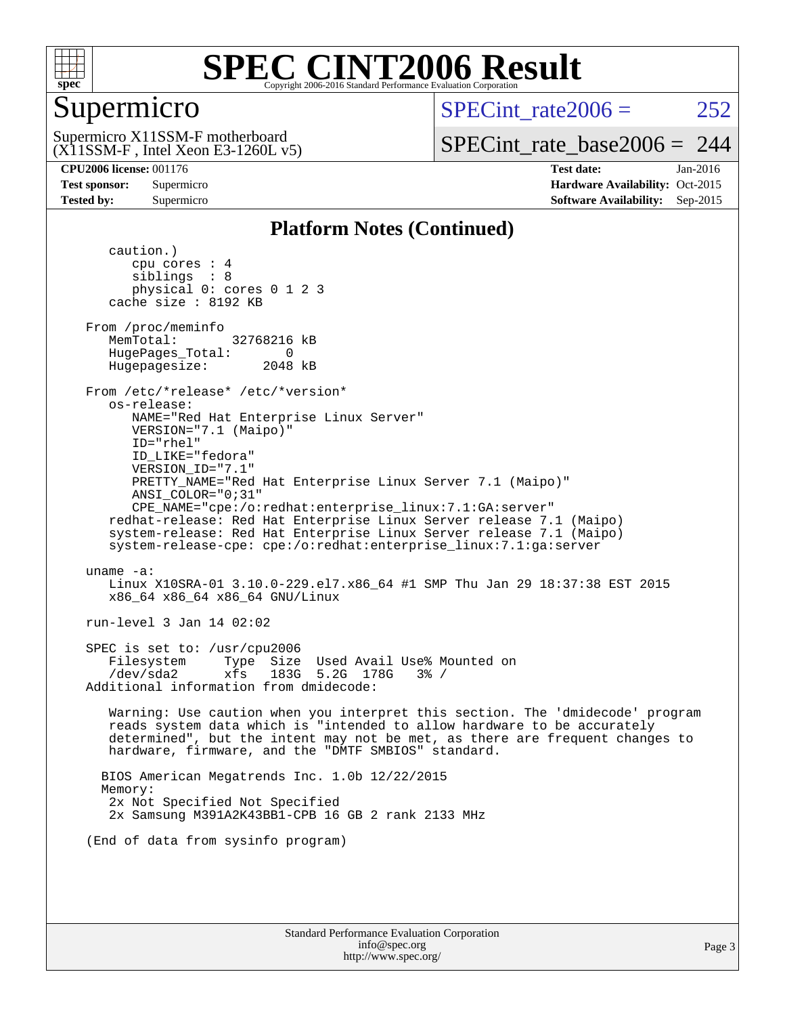

### Supermicro

SPECint rate  $2006 = 252$ 

(X11SSM-F , Intel Xeon E3-1260L v5) Supermicro X11SSM-F motherboard

[SPECint\\_rate\\_base2006 =](http://www.spec.org/auto/cpu2006/Docs/result-fields.html#SPECintratebase2006) 244

**[CPU2006 license:](http://www.spec.org/auto/cpu2006/Docs/result-fields.html#CPU2006license)** 001176 **[Test date:](http://www.spec.org/auto/cpu2006/Docs/result-fields.html#Testdate)** Jan-2016 **[Test sponsor:](http://www.spec.org/auto/cpu2006/Docs/result-fields.html#Testsponsor)** Supermicro Supermicro **[Hardware Availability:](http://www.spec.org/auto/cpu2006/Docs/result-fields.html#HardwareAvailability)** Oct-2015 **[Tested by:](http://www.spec.org/auto/cpu2006/Docs/result-fields.html#Testedby)** Supermicro **Supermicro [Software Availability:](http://www.spec.org/auto/cpu2006/Docs/result-fields.html#SoftwareAvailability)** Sep-2015

### **[Platform Notes \(Continued\)](http://www.spec.org/auto/cpu2006/Docs/result-fields.html#PlatformNotes)**

 caution.) cpu cores : 4 siblings : 8 physical 0: cores 0 1 2 3 cache size : 8192 KB From /proc/meminfo MemTotal: 32768216 kB HugePages\_Total: 0<br>Hugepagesize: 2048 kB Hugepagesize: From /etc/\*release\* /etc/\*version\* os-release: NAME="Red Hat Enterprise Linux Server" VERSION="7.1 (Maipo)" ID="rhel" ID\_LIKE="fedora" VERSION\_ID="7.1" PRETTY\_NAME="Red Hat Enterprise Linux Server 7.1 (Maipo)" ANSI\_COLOR="0;31" CPE\_NAME="cpe:/o:redhat:enterprise\_linux:7.1:GA:server" redhat-release: Red Hat Enterprise Linux Server release 7.1 (Maipo) system-release: Red Hat Enterprise Linux Server release 7.1 (Maipo) system-release-cpe: cpe:/o:redhat:enterprise\_linux:7.1:ga:server uname -a: Linux X10SRA-01 3.10.0-229.el7.x86\_64 #1 SMP Thu Jan 29 18:37:38 EST 2015 x86\_64 x86\_64 x86\_64 GNU/Linux run-level 3 Jan 14 02:02 SPEC is set to: /usr/cpu2006 Filesystem Type Size Used Avail Use% Mounted on /dev/sda2 xfs 183G 5.2G 178G 3% / Additional information from dmidecode: Warning: Use caution when you interpret this section. The 'dmidecode' program reads system data which is "intended to allow hardware to be accurately determined", but the intent may not be met, as there are frequent changes to hardware, firmware, and the "DMTF SMBIOS" standard. BIOS American Megatrends Inc. 1.0b 12/22/2015 Memory: 2x Not Specified Not Specified 2x Samsung M391A2K43BB1-CPB 16 GB 2 rank 2133 MHz (End of data from sysinfo program)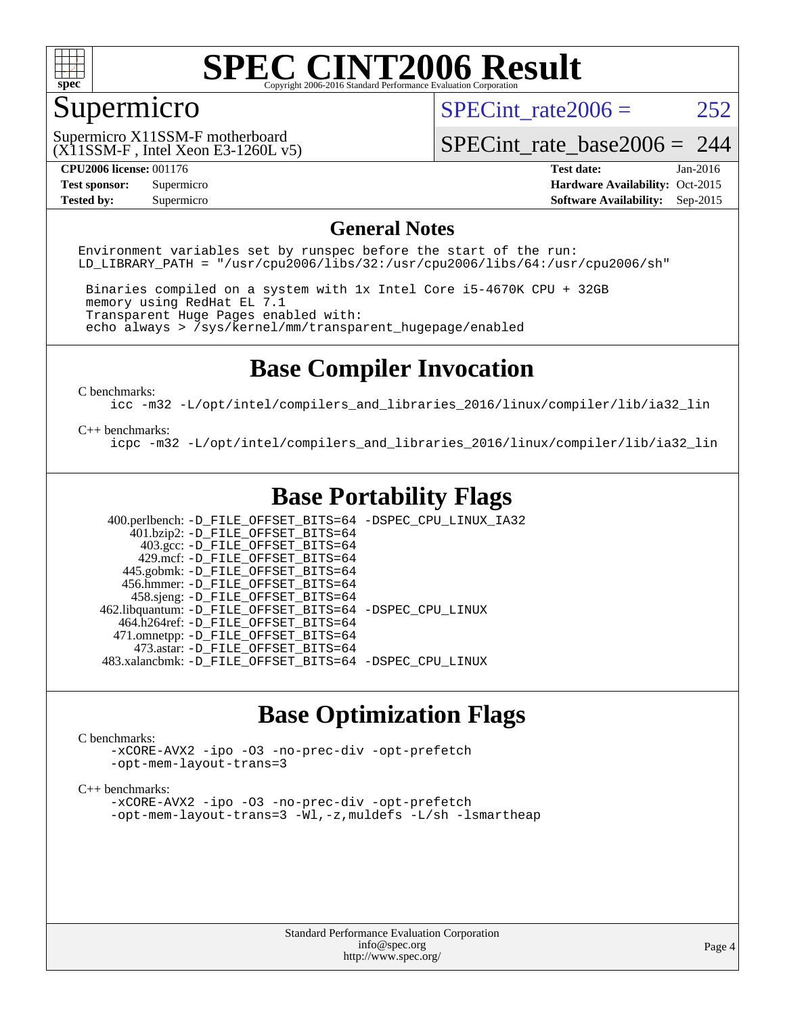

### Supermicro

SPECint rate  $2006 = 252$ 

(X11SSM-F , Intel Xeon E3-1260L v5) Supermicro X11SSM-F motherboard

[SPECint\\_rate\\_base2006 =](http://www.spec.org/auto/cpu2006/Docs/result-fields.html#SPECintratebase2006) 244

**[CPU2006 license:](http://www.spec.org/auto/cpu2006/Docs/result-fields.html#CPU2006license)** 001176 **[Test date:](http://www.spec.org/auto/cpu2006/Docs/result-fields.html#Testdate)** Jan-2016 **[Test sponsor:](http://www.spec.org/auto/cpu2006/Docs/result-fields.html#Testsponsor)** Supermicro Supermicro **[Hardware Availability:](http://www.spec.org/auto/cpu2006/Docs/result-fields.html#HardwareAvailability)** Oct-2015 **[Tested by:](http://www.spec.org/auto/cpu2006/Docs/result-fields.html#Testedby)** Supermicro **Supermicro [Software Availability:](http://www.spec.org/auto/cpu2006/Docs/result-fields.html#SoftwareAvailability)** Sep-2015

### **[General Notes](http://www.spec.org/auto/cpu2006/Docs/result-fields.html#GeneralNotes)**

Environment variables set by runspec before the start of the run: LD LIBRARY PATH = "/usr/cpu2006/libs/32:/usr/cpu2006/libs/64:/usr/cpu2006/sh"

 Binaries compiled on a system with 1x Intel Core i5-4670K CPU + 32GB memory using RedHat EL 7.1 Transparent Huge Pages enabled with: echo always > /sys/kernel/mm/transparent\_hugepage/enabled

### **[Base Compiler Invocation](http://www.spec.org/auto/cpu2006/Docs/result-fields.html#BaseCompilerInvocation)**

[C benchmarks](http://www.spec.org/auto/cpu2006/Docs/result-fields.html#Cbenchmarks):

[icc -m32 -L/opt/intel/compilers\\_and\\_libraries\\_2016/linux/compiler/lib/ia32\\_lin](http://www.spec.org/cpu2006/results/res2016q1/cpu2006-20160206-39004.flags.html#user_CCbase_intel_icc_e10256ba5924b668798078a321b0cb3f)

#### [C++ benchmarks:](http://www.spec.org/auto/cpu2006/Docs/result-fields.html#CXXbenchmarks)

[icpc -m32 -L/opt/intel/compilers\\_and\\_libraries\\_2016/linux/compiler/lib/ia32\\_lin](http://www.spec.org/cpu2006/results/res2016q1/cpu2006-20160206-39004.flags.html#user_CXXbase_intel_icpc_b4f50a394bdb4597aa5879c16bc3f5c5)

### **[Base Portability Flags](http://www.spec.org/auto/cpu2006/Docs/result-fields.html#BasePortabilityFlags)**

 400.perlbench: [-D\\_FILE\\_OFFSET\\_BITS=64](http://www.spec.org/cpu2006/results/res2016q1/cpu2006-20160206-39004.flags.html#user_basePORTABILITY400_perlbench_file_offset_bits_64_438cf9856305ebd76870a2c6dc2689ab) [-DSPEC\\_CPU\\_LINUX\\_IA32](http://www.spec.org/cpu2006/results/res2016q1/cpu2006-20160206-39004.flags.html#b400.perlbench_baseCPORTABILITY_DSPEC_CPU_LINUX_IA32)  $401.bzip2: -D$ FILE\_OFFSET\_BITS=64 403.gcc: [-D\\_FILE\\_OFFSET\\_BITS=64](http://www.spec.org/cpu2006/results/res2016q1/cpu2006-20160206-39004.flags.html#user_basePORTABILITY403_gcc_file_offset_bits_64_438cf9856305ebd76870a2c6dc2689ab) 429.mcf: [-D\\_FILE\\_OFFSET\\_BITS=64](http://www.spec.org/cpu2006/results/res2016q1/cpu2006-20160206-39004.flags.html#user_basePORTABILITY429_mcf_file_offset_bits_64_438cf9856305ebd76870a2c6dc2689ab) 445.gobmk: [-D\\_FILE\\_OFFSET\\_BITS=64](http://www.spec.org/cpu2006/results/res2016q1/cpu2006-20160206-39004.flags.html#user_basePORTABILITY445_gobmk_file_offset_bits_64_438cf9856305ebd76870a2c6dc2689ab) 456.hmmer: [-D\\_FILE\\_OFFSET\\_BITS=64](http://www.spec.org/cpu2006/results/res2016q1/cpu2006-20160206-39004.flags.html#user_basePORTABILITY456_hmmer_file_offset_bits_64_438cf9856305ebd76870a2c6dc2689ab) 458.sjeng: [-D\\_FILE\\_OFFSET\\_BITS=64](http://www.spec.org/cpu2006/results/res2016q1/cpu2006-20160206-39004.flags.html#user_basePORTABILITY458_sjeng_file_offset_bits_64_438cf9856305ebd76870a2c6dc2689ab) 462.libquantum: [-D\\_FILE\\_OFFSET\\_BITS=64](http://www.spec.org/cpu2006/results/res2016q1/cpu2006-20160206-39004.flags.html#user_basePORTABILITY462_libquantum_file_offset_bits_64_438cf9856305ebd76870a2c6dc2689ab) [-DSPEC\\_CPU\\_LINUX](http://www.spec.org/cpu2006/results/res2016q1/cpu2006-20160206-39004.flags.html#b462.libquantum_baseCPORTABILITY_DSPEC_CPU_LINUX) 464.h264ref: [-D\\_FILE\\_OFFSET\\_BITS=64](http://www.spec.org/cpu2006/results/res2016q1/cpu2006-20160206-39004.flags.html#user_basePORTABILITY464_h264ref_file_offset_bits_64_438cf9856305ebd76870a2c6dc2689ab) 471.omnetpp: [-D\\_FILE\\_OFFSET\\_BITS=64](http://www.spec.org/cpu2006/results/res2016q1/cpu2006-20160206-39004.flags.html#user_basePORTABILITY471_omnetpp_file_offset_bits_64_438cf9856305ebd76870a2c6dc2689ab) 473.astar: [-D\\_FILE\\_OFFSET\\_BITS=64](http://www.spec.org/cpu2006/results/res2016q1/cpu2006-20160206-39004.flags.html#user_basePORTABILITY473_astar_file_offset_bits_64_438cf9856305ebd76870a2c6dc2689ab) 483.xalancbmk: [-D\\_FILE\\_OFFSET\\_BITS=64](http://www.spec.org/cpu2006/results/res2016q1/cpu2006-20160206-39004.flags.html#user_basePORTABILITY483_xalancbmk_file_offset_bits_64_438cf9856305ebd76870a2c6dc2689ab) [-DSPEC\\_CPU\\_LINUX](http://www.spec.org/cpu2006/results/res2016q1/cpu2006-20160206-39004.flags.html#b483.xalancbmk_baseCXXPORTABILITY_DSPEC_CPU_LINUX)

### **[Base Optimization Flags](http://www.spec.org/auto/cpu2006/Docs/result-fields.html#BaseOptimizationFlags)**

#### [C benchmarks](http://www.spec.org/auto/cpu2006/Docs/result-fields.html#Cbenchmarks):

[-xCORE-AVX2](http://www.spec.org/cpu2006/results/res2016q1/cpu2006-20160206-39004.flags.html#user_CCbase_f-xAVX2_5f5fc0cbe2c9f62c816d3e45806c70d7) [-ipo](http://www.spec.org/cpu2006/results/res2016q1/cpu2006-20160206-39004.flags.html#user_CCbase_f-ipo) [-O3](http://www.spec.org/cpu2006/results/res2016q1/cpu2006-20160206-39004.flags.html#user_CCbase_f-O3) [-no-prec-div](http://www.spec.org/cpu2006/results/res2016q1/cpu2006-20160206-39004.flags.html#user_CCbase_f-no-prec-div) [-opt-prefetch](http://www.spec.org/cpu2006/results/res2016q1/cpu2006-20160206-39004.flags.html#user_CCbase_f-opt-prefetch) [-opt-mem-layout-trans=3](http://www.spec.org/cpu2006/results/res2016q1/cpu2006-20160206-39004.flags.html#user_CCbase_f-opt-mem-layout-trans_a7b82ad4bd7abf52556d4961a2ae94d5)

#### [C++ benchmarks:](http://www.spec.org/auto/cpu2006/Docs/result-fields.html#CXXbenchmarks)

[-xCORE-AVX2](http://www.spec.org/cpu2006/results/res2016q1/cpu2006-20160206-39004.flags.html#user_CXXbase_f-xAVX2_5f5fc0cbe2c9f62c816d3e45806c70d7) [-ipo](http://www.spec.org/cpu2006/results/res2016q1/cpu2006-20160206-39004.flags.html#user_CXXbase_f-ipo) [-O3](http://www.spec.org/cpu2006/results/res2016q1/cpu2006-20160206-39004.flags.html#user_CXXbase_f-O3) [-no-prec-div](http://www.spec.org/cpu2006/results/res2016q1/cpu2006-20160206-39004.flags.html#user_CXXbase_f-no-prec-div) [-opt-prefetch](http://www.spec.org/cpu2006/results/res2016q1/cpu2006-20160206-39004.flags.html#user_CXXbase_f-opt-prefetch) [-opt-mem-layout-trans=3](http://www.spec.org/cpu2006/results/res2016q1/cpu2006-20160206-39004.flags.html#user_CXXbase_f-opt-mem-layout-trans_a7b82ad4bd7abf52556d4961a2ae94d5) [-Wl,-z,muldefs](http://www.spec.org/cpu2006/results/res2016q1/cpu2006-20160206-39004.flags.html#user_CXXbase_link_force_multiple1_74079c344b956b9658436fd1b6dd3a8a) [-L/sh -lsmartheap](http://www.spec.org/cpu2006/results/res2016q1/cpu2006-20160206-39004.flags.html#user_CXXbase_SmartHeap_32f6c82aa1ed9c52345d30cf6e4a0499)

> Standard Performance Evaluation Corporation [info@spec.org](mailto:info@spec.org) <http://www.spec.org/>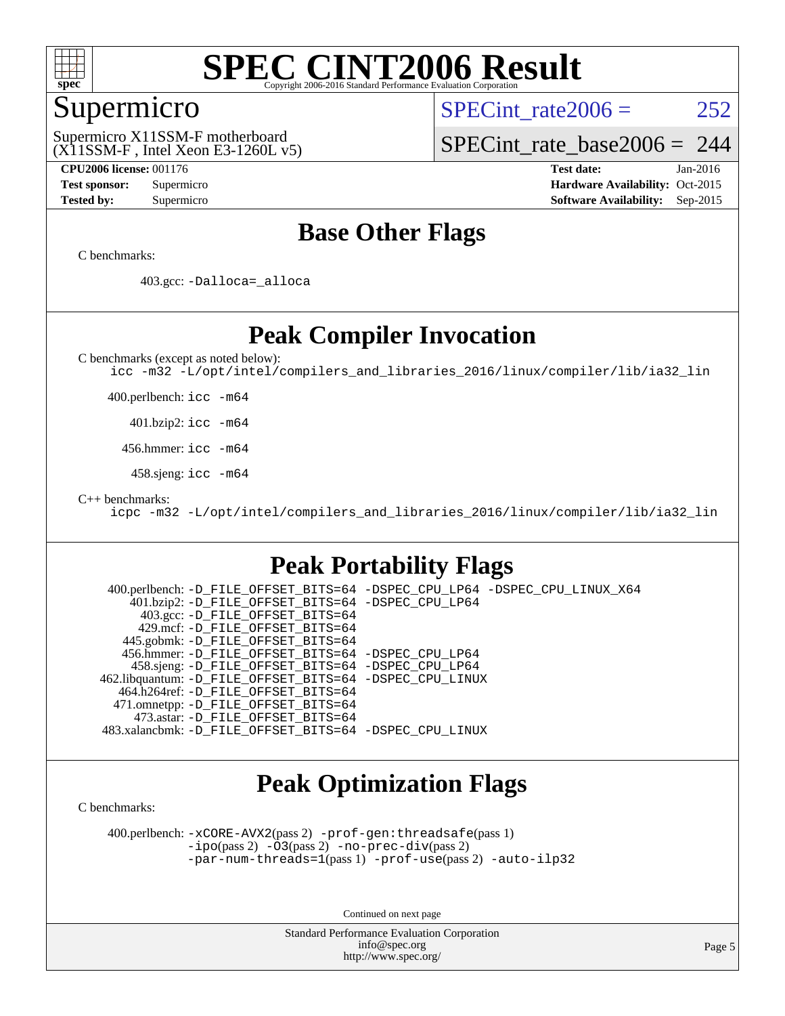

### Supermicro

SPECint rate  $2006 = 252$ 

(X11SSM-F , Intel Xeon E3-1260L v5) Supermicro X11SSM-F motherboard

[SPECint\\_rate\\_base2006 =](http://www.spec.org/auto/cpu2006/Docs/result-fields.html#SPECintratebase2006) 244

**[CPU2006 license:](http://www.spec.org/auto/cpu2006/Docs/result-fields.html#CPU2006license)** 001176 **[Test date:](http://www.spec.org/auto/cpu2006/Docs/result-fields.html#Testdate)** Jan-2016 **[Test sponsor:](http://www.spec.org/auto/cpu2006/Docs/result-fields.html#Testsponsor)** Supermicro Supermicro **[Hardware Availability:](http://www.spec.org/auto/cpu2006/Docs/result-fields.html#HardwareAvailability)** Oct-2015 **[Tested by:](http://www.spec.org/auto/cpu2006/Docs/result-fields.html#Testedby)** Supermicro **Supermicro [Software Availability:](http://www.spec.org/auto/cpu2006/Docs/result-fields.html#SoftwareAvailability)** Sep-2015

### **[Base Other Flags](http://www.spec.org/auto/cpu2006/Docs/result-fields.html#BaseOtherFlags)**

[C benchmarks](http://www.spec.org/auto/cpu2006/Docs/result-fields.html#Cbenchmarks):

403.gcc: [-Dalloca=\\_alloca](http://www.spec.org/cpu2006/results/res2016q1/cpu2006-20160206-39004.flags.html#b403.gcc_baseEXTRA_CFLAGS_Dalloca_be3056838c12de2578596ca5467af7f3)

### **[Peak Compiler Invocation](http://www.spec.org/auto/cpu2006/Docs/result-fields.html#PeakCompilerInvocation)**

[C benchmarks \(except as noted below\)](http://www.spec.org/auto/cpu2006/Docs/result-fields.html#Cbenchmarksexceptasnotedbelow):

[icc -m32 -L/opt/intel/compilers\\_and\\_libraries\\_2016/linux/compiler/lib/ia32\\_lin](http://www.spec.org/cpu2006/results/res2016q1/cpu2006-20160206-39004.flags.html#user_CCpeak_intel_icc_e10256ba5924b668798078a321b0cb3f)

400.perlbench: [icc -m64](http://www.spec.org/cpu2006/results/res2016q1/cpu2006-20160206-39004.flags.html#user_peakCCLD400_perlbench_intel_icc_64bit_bda6cc9af1fdbb0edc3795bac97ada53)

401.bzip2: [icc -m64](http://www.spec.org/cpu2006/results/res2016q1/cpu2006-20160206-39004.flags.html#user_peakCCLD401_bzip2_intel_icc_64bit_bda6cc9af1fdbb0edc3795bac97ada53)

456.hmmer: [icc -m64](http://www.spec.org/cpu2006/results/res2016q1/cpu2006-20160206-39004.flags.html#user_peakCCLD456_hmmer_intel_icc_64bit_bda6cc9af1fdbb0edc3795bac97ada53)

458.sjeng: [icc -m64](http://www.spec.org/cpu2006/results/res2016q1/cpu2006-20160206-39004.flags.html#user_peakCCLD458_sjeng_intel_icc_64bit_bda6cc9af1fdbb0edc3795bac97ada53)

[C++ benchmarks:](http://www.spec.org/auto/cpu2006/Docs/result-fields.html#CXXbenchmarks)

[icpc -m32 -L/opt/intel/compilers\\_and\\_libraries\\_2016/linux/compiler/lib/ia32\\_lin](http://www.spec.org/cpu2006/results/res2016q1/cpu2006-20160206-39004.flags.html#user_CXXpeak_intel_icpc_b4f50a394bdb4597aa5879c16bc3f5c5)

### **[Peak Portability Flags](http://www.spec.org/auto/cpu2006/Docs/result-fields.html#PeakPortabilityFlags)**

 400.perlbench: [-D\\_FILE\\_OFFSET\\_BITS=64](http://www.spec.org/cpu2006/results/res2016q1/cpu2006-20160206-39004.flags.html#user_peakPORTABILITY400_perlbench_file_offset_bits_64_438cf9856305ebd76870a2c6dc2689ab) [-DSPEC\\_CPU\\_LP64](http://www.spec.org/cpu2006/results/res2016q1/cpu2006-20160206-39004.flags.html#b400.perlbench_peakCPORTABILITY_DSPEC_CPU_LP64) [-DSPEC\\_CPU\\_LINUX\\_X64](http://www.spec.org/cpu2006/results/res2016q1/cpu2006-20160206-39004.flags.html#b400.perlbench_peakCPORTABILITY_DSPEC_CPU_LINUX_X64) 401.bzip2: [-D\\_FILE\\_OFFSET\\_BITS=64](http://www.spec.org/cpu2006/results/res2016q1/cpu2006-20160206-39004.flags.html#user_peakPORTABILITY401_bzip2_file_offset_bits_64_438cf9856305ebd76870a2c6dc2689ab) [-DSPEC\\_CPU\\_LP64](http://www.spec.org/cpu2006/results/res2016q1/cpu2006-20160206-39004.flags.html#suite_peakCPORTABILITY401_bzip2_DSPEC_CPU_LP64) 403.gcc: [-D\\_FILE\\_OFFSET\\_BITS=64](http://www.spec.org/cpu2006/results/res2016q1/cpu2006-20160206-39004.flags.html#user_peakPORTABILITY403_gcc_file_offset_bits_64_438cf9856305ebd76870a2c6dc2689ab) 429.mcf: [-D\\_FILE\\_OFFSET\\_BITS=64](http://www.spec.org/cpu2006/results/res2016q1/cpu2006-20160206-39004.flags.html#user_peakPORTABILITY429_mcf_file_offset_bits_64_438cf9856305ebd76870a2c6dc2689ab) 445.gobmk: [-D\\_FILE\\_OFFSET\\_BITS=64](http://www.spec.org/cpu2006/results/res2016q1/cpu2006-20160206-39004.flags.html#user_peakPORTABILITY445_gobmk_file_offset_bits_64_438cf9856305ebd76870a2c6dc2689ab) 456.hmmer: [-D\\_FILE\\_OFFSET\\_BITS=64](http://www.spec.org/cpu2006/results/res2016q1/cpu2006-20160206-39004.flags.html#user_peakPORTABILITY456_hmmer_file_offset_bits_64_438cf9856305ebd76870a2c6dc2689ab) [-DSPEC\\_CPU\\_LP64](http://www.spec.org/cpu2006/results/res2016q1/cpu2006-20160206-39004.flags.html#suite_peakCPORTABILITY456_hmmer_DSPEC_CPU_LP64) 458.sjeng: [-D\\_FILE\\_OFFSET\\_BITS=64](http://www.spec.org/cpu2006/results/res2016q1/cpu2006-20160206-39004.flags.html#user_peakPORTABILITY458_sjeng_file_offset_bits_64_438cf9856305ebd76870a2c6dc2689ab) [-DSPEC\\_CPU\\_LP64](http://www.spec.org/cpu2006/results/res2016q1/cpu2006-20160206-39004.flags.html#suite_peakCPORTABILITY458_sjeng_DSPEC_CPU_LP64) 462.libquantum: [-D\\_FILE\\_OFFSET\\_BITS=64](http://www.spec.org/cpu2006/results/res2016q1/cpu2006-20160206-39004.flags.html#user_peakPORTABILITY462_libquantum_file_offset_bits_64_438cf9856305ebd76870a2c6dc2689ab) [-DSPEC\\_CPU\\_LINUX](http://www.spec.org/cpu2006/results/res2016q1/cpu2006-20160206-39004.flags.html#b462.libquantum_peakCPORTABILITY_DSPEC_CPU_LINUX) 464.h264ref: [-D\\_FILE\\_OFFSET\\_BITS=64](http://www.spec.org/cpu2006/results/res2016q1/cpu2006-20160206-39004.flags.html#user_peakPORTABILITY464_h264ref_file_offset_bits_64_438cf9856305ebd76870a2c6dc2689ab) 471.omnetpp: [-D\\_FILE\\_OFFSET\\_BITS=64](http://www.spec.org/cpu2006/results/res2016q1/cpu2006-20160206-39004.flags.html#user_peakPORTABILITY471_omnetpp_file_offset_bits_64_438cf9856305ebd76870a2c6dc2689ab) 473.astar: [-D\\_FILE\\_OFFSET\\_BITS=64](http://www.spec.org/cpu2006/results/res2016q1/cpu2006-20160206-39004.flags.html#user_peakPORTABILITY473_astar_file_offset_bits_64_438cf9856305ebd76870a2c6dc2689ab) 483.xalancbmk: [-D\\_FILE\\_OFFSET\\_BITS=64](http://www.spec.org/cpu2006/results/res2016q1/cpu2006-20160206-39004.flags.html#user_peakPORTABILITY483_xalancbmk_file_offset_bits_64_438cf9856305ebd76870a2c6dc2689ab) [-DSPEC\\_CPU\\_LINUX](http://www.spec.org/cpu2006/results/res2016q1/cpu2006-20160206-39004.flags.html#b483.xalancbmk_peakCXXPORTABILITY_DSPEC_CPU_LINUX)

### **[Peak Optimization Flags](http://www.spec.org/auto/cpu2006/Docs/result-fields.html#PeakOptimizationFlags)**

[C benchmarks](http://www.spec.org/auto/cpu2006/Docs/result-fields.html#Cbenchmarks):

 400.perlbench: [-xCORE-AVX2](http://www.spec.org/cpu2006/results/res2016q1/cpu2006-20160206-39004.flags.html#user_peakPASS2_CFLAGSPASS2_LDCFLAGS400_perlbench_f-xAVX2_5f5fc0cbe2c9f62c816d3e45806c70d7)(pass 2) [-prof-gen:threadsafe](http://www.spec.org/cpu2006/results/res2016q1/cpu2006-20160206-39004.flags.html#user_peakPASS1_CFLAGSPASS1_LDCFLAGS400_perlbench_prof_gen_21a26eb79f378b550acd7bec9fe4467a)(pass 1) [-ipo](http://www.spec.org/cpu2006/results/res2016q1/cpu2006-20160206-39004.flags.html#user_peakPASS2_CFLAGSPASS2_LDCFLAGS400_perlbench_f-ipo)(pass 2) [-O3](http://www.spec.org/cpu2006/results/res2016q1/cpu2006-20160206-39004.flags.html#user_peakPASS2_CFLAGSPASS2_LDCFLAGS400_perlbench_f-O3)(pass 2) [-no-prec-div](http://www.spec.org/cpu2006/results/res2016q1/cpu2006-20160206-39004.flags.html#user_peakPASS2_CFLAGSPASS2_LDCFLAGS400_perlbench_f-no-prec-div)(pass 2) [-par-num-threads=1](http://www.spec.org/cpu2006/results/res2016q1/cpu2006-20160206-39004.flags.html#user_peakPASS1_CFLAGSPASS1_LDCFLAGS400_perlbench_par_num_threads_786a6ff141b4e9e90432e998842df6c2)(pass 1) [-prof-use](http://www.spec.org/cpu2006/results/res2016q1/cpu2006-20160206-39004.flags.html#user_peakPASS2_CFLAGSPASS2_LDCFLAGS400_perlbench_prof_use_bccf7792157ff70d64e32fe3e1250b55)(pass 2) [-auto-ilp32](http://www.spec.org/cpu2006/results/res2016q1/cpu2006-20160206-39004.flags.html#user_peakCOPTIMIZE400_perlbench_f-auto-ilp32)

Continued on next page

Standard Performance Evaluation Corporation [info@spec.org](mailto:info@spec.org) <http://www.spec.org/>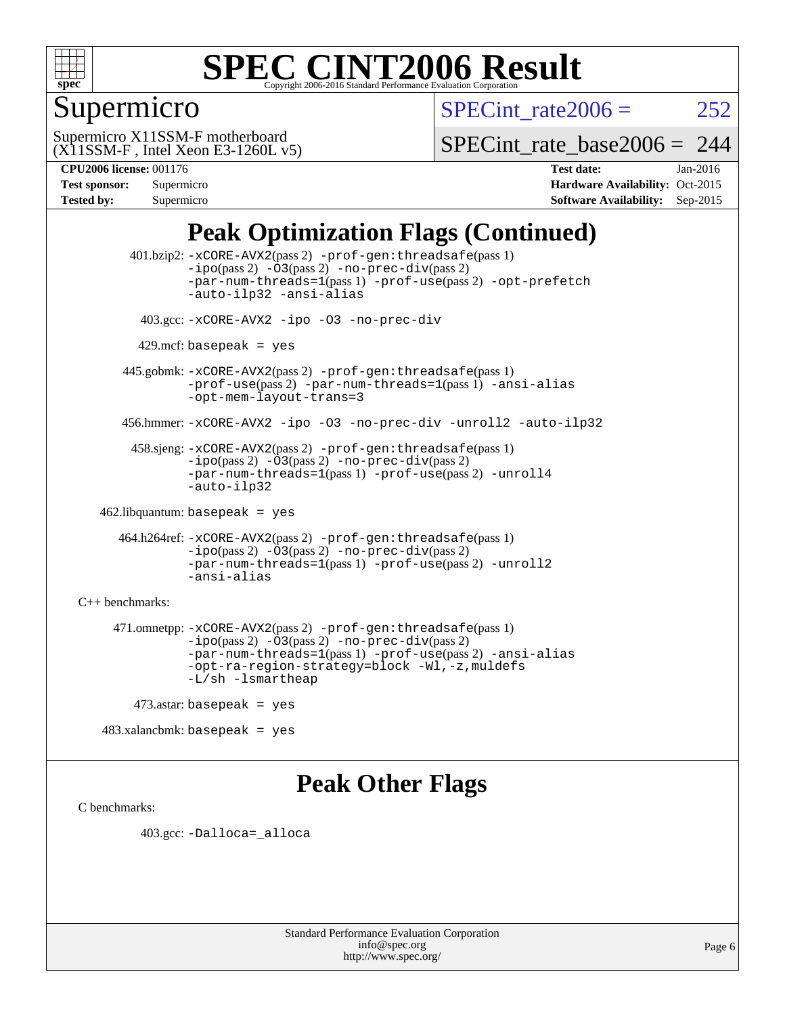

### Supermicro

SPECint rate  $2006 = 252$ 

(X11SSM-F , Intel Xeon E3-1260L v5) Supermicro X11SSM-F motherboard

[SPECint\\_rate\\_base2006 =](http://www.spec.org/auto/cpu2006/Docs/result-fields.html#SPECintratebase2006) 244

| <b>Test sponsor:</b> | Supermicro |
|----------------------|------------|
| <b>Tested by:</b>    | Supermicro |

**[CPU2006 license:](http://www.spec.org/auto/cpu2006/Docs/result-fields.html#CPU2006license)** 001176 **[Test date:](http://www.spec.org/auto/cpu2006/Docs/result-fields.html#Testdate)** Jan-2016 **[Hardware Availability:](http://www.spec.org/auto/cpu2006/Docs/result-fields.html#HardwareAvailability)** Oct-2015 **[Software Availability:](http://www.spec.org/auto/cpu2006/Docs/result-fields.html#SoftwareAvailability)** Sep-2015

### **[Peak Optimization Flags \(Continued\)](http://www.spec.org/auto/cpu2006/Docs/result-fields.html#PeakOptimizationFlags)**

 401.bzip2: [-xCORE-AVX2](http://www.spec.org/cpu2006/results/res2016q1/cpu2006-20160206-39004.flags.html#user_peakPASS2_CFLAGSPASS2_LDCFLAGS401_bzip2_f-xAVX2_5f5fc0cbe2c9f62c816d3e45806c70d7)(pass 2) [-prof-gen:threadsafe](http://www.spec.org/cpu2006/results/res2016q1/cpu2006-20160206-39004.flags.html#user_peakPASS1_CFLAGSPASS1_LDCFLAGS401_bzip2_prof_gen_21a26eb79f378b550acd7bec9fe4467a)(pass 1)  $-i\text{po}(pass 2) -\text{O3}(pass 2)$  [-no-prec-div](http://www.spec.org/cpu2006/results/res2016q1/cpu2006-20160206-39004.flags.html#user_peakPASS2_CFLAGSPASS2_LDCFLAGS401_bzip2_f-no-prec-div)(pass 2) [-par-num-threads=1](http://www.spec.org/cpu2006/results/res2016q1/cpu2006-20160206-39004.flags.html#user_peakPASS1_CFLAGSPASS1_LDCFLAGS401_bzip2_par_num_threads_786a6ff141b4e9e90432e998842df6c2)(pass 1) [-prof-use](http://www.spec.org/cpu2006/results/res2016q1/cpu2006-20160206-39004.flags.html#user_peakPASS2_CFLAGSPASS2_LDCFLAGS401_bzip2_prof_use_bccf7792157ff70d64e32fe3e1250b55)(pass 2) [-opt-prefetch](http://www.spec.org/cpu2006/results/res2016q1/cpu2006-20160206-39004.flags.html#user_peakCOPTIMIZE401_bzip2_f-opt-prefetch) [-auto-ilp32](http://www.spec.org/cpu2006/results/res2016q1/cpu2006-20160206-39004.flags.html#user_peakCOPTIMIZE401_bzip2_f-auto-ilp32) [-ansi-alias](http://www.spec.org/cpu2006/results/res2016q1/cpu2006-20160206-39004.flags.html#user_peakCOPTIMIZE401_bzip2_f-ansi-alias) 403.gcc: [-xCORE-AVX2](http://www.spec.org/cpu2006/results/res2016q1/cpu2006-20160206-39004.flags.html#user_peakCOPTIMIZE403_gcc_f-xAVX2_5f5fc0cbe2c9f62c816d3e45806c70d7) [-ipo](http://www.spec.org/cpu2006/results/res2016q1/cpu2006-20160206-39004.flags.html#user_peakCOPTIMIZE403_gcc_f-ipo) [-O3](http://www.spec.org/cpu2006/results/res2016q1/cpu2006-20160206-39004.flags.html#user_peakCOPTIMIZE403_gcc_f-O3) [-no-prec-div](http://www.spec.org/cpu2006/results/res2016q1/cpu2006-20160206-39004.flags.html#user_peakCOPTIMIZE403_gcc_f-no-prec-div)  $429$ .mcf: basepeak = yes 445.gobmk: [-xCORE-AVX2](http://www.spec.org/cpu2006/results/res2016q1/cpu2006-20160206-39004.flags.html#user_peakPASS2_CFLAGSPASS2_LDCFLAGS445_gobmk_f-xAVX2_5f5fc0cbe2c9f62c816d3e45806c70d7)(pass 2) [-prof-gen:threadsafe](http://www.spec.org/cpu2006/results/res2016q1/cpu2006-20160206-39004.flags.html#user_peakPASS1_CFLAGSPASS1_LDCFLAGS445_gobmk_prof_gen_21a26eb79f378b550acd7bec9fe4467a)(pass 1) [-prof-use](http://www.spec.org/cpu2006/results/res2016q1/cpu2006-20160206-39004.flags.html#user_peakPASS2_CFLAGSPASS2_LDCFLAGS445_gobmk_prof_use_bccf7792157ff70d64e32fe3e1250b55)(pass 2) [-par-num-threads=1](http://www.spec.org/cpu2006/results/res2016q1/cpu2006-20160206-39004.flags.html#user_peakPASS1_CFLAGSPASS1_LDCFLAGS445_gobmk_par_num_threads_786a6ff141b4e9e90432e998842df6c2)(pass 1) [-ansi-alias](http://www.spec.org/cpu2006/results/res2016q1/cpu2006-20160206-39004.flags.html#user_peakCOPTIMIZE445_gobmk_f-ansi-alias) [-opt-mem-layout-trans=3](http://www.spec.org/cpu2006/results/res2016q1/cpu2006-20160206-39004.flags.html#user_peakCOPTIMIZE445_gobmk_f-opt-mem-layout-trans_a7b82ad4bd7abf52556d4961a2ae94d5) 456.hmmer: [-xCORE-AVX2](http://www.spec.org/cpu2006/results/res2016q1/cpu2006-20160206-39004.flags.html#user_peakCOPTIMIZE456_hmmer_f-xAVX2_5f5fc0cbe2c9f62c816d3e45806c70d7) [-ipo](http://www.spec.org/cpu2006/results/res2016q1/cpu2006-20160206-39004.flags.html#user_peakCOPTIMIZE456_hmmer_f-ipo) [-O3](http://www.spec.org/cpu2006/results/res2016q1/cpu2006-20160206-39004.flags.html#user_peakCOPTIMIZE456_hmmer_f-O3) [-no-prec-div](http://www.spec.org/cpu2006/results/res2016q1/cpu2006-20160206-39004.flags.html#user_peakCOPTIMIZE456_hmmer_f-no-prec-div) [-unroll2](http://www.spec.org/cpu2006/results/res2016q1/cpu2006-20160206-39004.flags.html#user_peakCOPTIMIZE456_hmmer_f-unroll_784dae83bebfb236979b41d2422d7ec2) [-auto-ilp32](http://www.spec.org/cpu2006/results/res2016q1/cpu2006-20160206-39004.flags.html#user_peakCOPTIMIZE456_hmmer_f-auto-ilp32) 458.sjeng: [-xCORE-AVX2](http://www.spec.org/cpu2006/results/res2016q1/cpu2006-20160206-39004.flags.html#user_peakPASS2_CFLAGSPASS2_LDCFLAGS458_sjeng_f-xAVX2_5f5fc0cbe2c9f62c816d3e45806c70d7)(pass 2) [-prof-gen:threadsafe](http://www.spec.org/cpu2006/results/res2016q1/cpu2006-20160206-39004.flags.html#user_peakPASS1_CFLAGSPASS1_LDCFLAGS458_sjeng_prof_gen_21a26eb79f378b550acd7bec9fe4467a)(pass 1)  $-i\text{po}(pass 2) -\overline{O}3(pass 2)$  [-no-prec-div](http://www.spec.org/cpu2006/results/res2016q1/cpu2006-20160206-39004.flags.html#user_peakPASS2_CFLAGSPASS2_LDCFLAGS458_sjeng_f-no-prec-div)(pass 2) [-par-num-threads=1](http://www.spec.org/cpu2006/results/res2016q1/cpu2006-20160206-39004.flags.html#user_peakPASS1_CFLAGSPASS1_LDCFLAGS458_sjeng_par_num_threads_786a6ff141b4e9e90432e998842df6c2)(pass 1) [-prof-use](http://www.spec.org/cpu2006/results/res2016q1/cpu2006-20160206-39004.flags.html#user_peakPASS2_CFLAGSPASS2_LDCFLAGS458_sjeng_prof_use_bccf7792157ff70d64e32fe3e1250b55)(pass 2) [-unroll4](http://www.spec.org/cpu2006/results/res2016q1/cpu2006-20160206-39004.flags.html#user_peakCOPTIMIZE458_sjeng_f-unroll_4e5e4ed65b7fd20bdcd365bec371b81f) [-auto-ilp32](http://www.spec.org/cpu2006/results/res2016q1/cpu2006-20160206-39004.flags.html#user_peakCOPTIMIZE458_sjeng_f-auto-ilp32) 462.libquantum: basepeak = yes 464.h264ref: [-xCORE-AVX2](http://www.spec.org/cpu2006/results/res2016q1/cpu2006-20160206-39004.flags.html#user_peakPASS2_CFLAGSPASS2_LDCFLAGS464_h264ref_f-xAVX2_5f5fc0cbe2c9f62c816d3e45806c70d7)(pass 2) [-prof-gen:threadsafe](http://www.spec.org/cpu2006/results/res2016q1/cpu2006-20160206-39004.flags.html#user_peakPASS1_CFLAGSPASS1_LDCFLAGS464_h264ref_prof_gen_21a26eb79f378b550acd7bec9fe4467a)(pass 1) [-ipo](http://www.spec.org/cpu2006/results/res2016q1/cpu2006-20160206-39004.flags.html#user_peakPASS2_CFLAGSPASS2_LDCFLAGS464_h264ref_f-ipo)(pass 2) [-O3](http://www.spec.org/cpu2006/results/res2016q1/cpu2006-20160206-39004.flags.html#user_peakPASS2_CFLAGSPASS2_LDCFLAGS464_h264ref_f-O3)(pass 2) [-no-prec-div](http://www.spec.org/cpu2006/results/res2016q1/cpu2006-20160206-39004.flags.html#user_peakPASS2_CFLAGSPASS2_LDCFLAGS464_h264ref_f-no-prec-div)(pass 2) [-par-num-threads=1](http://www.spec.org/cpu2006/results/res2016q1/cpu2006-20160206-39004.flags.html#user_peakPASS1_CFLAGSPASS1_LDCFLAGS464_h264ref_par_num_threads_786a6ff141b4e9e90432e998842df6c2)(pass 1) [-prof-use](http://www.spec.org/cpu2006/results/res2016q1/cpu2006-20160206-39004.flags.html#user_peakPASS2_CFLAGSPASS2_LDCFLAGS464_h264ref_prof_use_bccf7792157ff70d64e32fe3e1250b55)(pass 2) [-unroll2](http://www.spec.org/cpu2006/results/res2016q1/cpu2006-20160206-39004.flags.html#user_peakCOPTIMIZE464_h264ref_f-unroll_784dae83bebfb236979b41d2422d7ec2) [-ansi-alias](http://www.spec.org/cpu2006/results/res2016q1/cpu2006-20160206-39004.flags.html#user_peakCOPTIMIZE464_h264ref_f-ansi-alias) [C++ benchmarks:](http://www.spec.org/auto/cpu2006/Docs/result-fields.html#CXXbenchmarks) 471.omnetpp: [-xCORE-AVX2](http://www.spec.org/cpu2006/results/res2016q1/cpu2006-20160206-39004.flags.html#user_peakPASS2_CXXFLAGSPASS2_LDCXXFLAGS471_omnetpp_f-xAVX2_5f5fc0cbe2c9f62c816d3e45806c70d7)(pass 2) [-prof-gen:threadsafe](http://www.spec.org/cpu2006/results/res2016q1/cpu2006-20160206-39004.flags.html#user_peakPASS1_CXXFLAGSPASS1_LDCXXFLAGS471_omnetpp_prof_gen_21a26eb79f378b550acd7bec9fe4467a)(pass 1)  $-ipo(pass 2) -\overline{03(pass 2)}$  $-ipo(pass 2) -\overline{03(pass 2)}$  [-no-prec-div](http://www.spec.org/cpu2006/results/res2016q1/cpu2006-20160206-39004.flags.html#user_peakPASS2_CXXFLAGSPASS2_LDCXXFLAGS471_omnetpp_f-no-prec-div)(pass 2) [-par-num-threads=1](http://www.spec.org/cpu2006/results/res2016q1/cpu2006-20160206-39004.flags.html#user_peakPASS1_CXXFLAGSPASS1_LDCXXFLAGS471_omnetpp_par_num_threads_786a6ff141b4e9e90432e998842df6c2)(pass 1) [-prof-use](http://www.spec.org/cpu2006/results/res2016q1/cpu2006-20160206-39004.flags.html#user_peakPASS2_CXXFLAGSPASS2_LDCXXFLAGS471_omnetpp_prof_use_bccf7792157ff70d64e32fe3e1250b55)(pass 2) [-ansi-alias](http://www.spec.org/cpu2006/results/res2016q1/cpu2006-20160206-39004.flags.html#user_peakCXXOPTIMIZE471_omnetpp_f-ansi-alias) [-opt-ra-region-strategy=block](http://www.spec.org/cpu2006/results/res2016q1/cpu2006-20160206-39004.flags.html#user_peakCXXOPTIMIZE471_omnetpp_f-opt-ra-region-strategy_a0a37c372d03933b2a18d4af463c1f69) [-Wl,-z,muldefs](http://www.spec.org/cpu2006/results/res2016q1/cpu2006-20160206-39004.flags.html#user_peakEXTRA_LDFLAGS471_omnetpp_link_force_multiple1_74079c344b956b9658436fd1b6dd3a8a) [-L/sh -lsmartheap](http://www.spec.org/cpu2006/results/res2016q1/cpu2006-20160206-39004.flags.html#user_peakEXTRA_LIBS471_omnetpp_SmartHeap_32f6c82aa1ed9c52345d30cf6e4a0499) 473.astar: basepeak = yes

483.xalancbmk: basepeak = yes

### **[Peak Other Flags](http://www.spec.org/auto/cpu2006/Docs/result-fields.html#PeakOtherFlags)**

[C benchmarks](http://www.spec.org/auto/cpu2006/Docs/result-fields.html#Cbenchmarks):

403.gcc: [-Dalloca=\\_alloca](http://www.spec.org/cpu2006/results/res2016q1/cpu2006-20160206-39004.flags.html#b403.gcc_peakEXTRA_CFLAGS_Dalloca_be3056838c12de2578596ca5467af7f3)